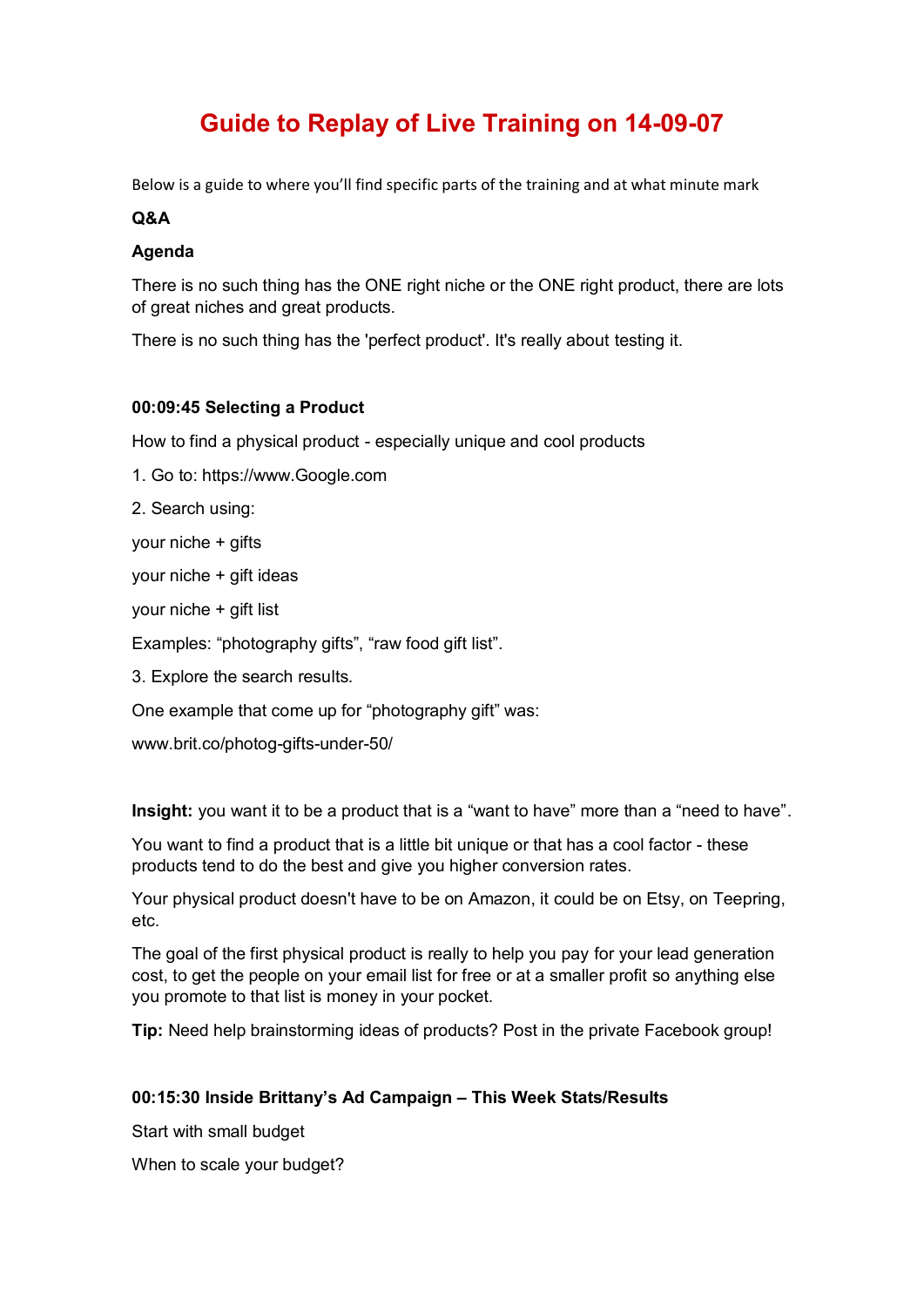# **Guide to Replay of Live Training on 14-09-07**

Below is a guide to where you'll find specific parts of the training and at what minute mark

#### **Q&A**

#### **Agenda**

There is no such thing has the ONE right niche or the ONE right product, there are lots of great niches and great products.

There is no such thing has the 'perfect product'. It's really about testing it.

## **00:09:45 Selecting a Product**

How to find a physical product - especially unique and cool products

1. Go to: https://www.Google.com

2. Search using:

your niche + gifts

your niche + gift ideas

your niche + gift list

Examples: "photography gifts", "raw food gift list".

3. Explore the search results.

One example that come up for "photography gift" was:

www.brit.co/photog-gifts-under-50/

**Insight:** you want it to be a product that is a "want to have" more than a "need to have".

You want to find a product that is a little bit unique or that has a cool factor - these products tend to do the best and give you higher conversion rates.

Your physical product doesn't have to be on Amazon, it could be on Etsy, on Teepring, etc.

The goal of the first physical product is really to help you pay for your lead generation cost, to get the people on your email list for free or at a smaller profit so anything else you promote to that list is money in your pocket.

**Tip:** Need help brainstorming ideas of products? Post in the private Facebook group!

# **00:15:30 Inside Brittany's Ad Campaign – This Week Stats/Results**

Start with small budget

When to scale your budget?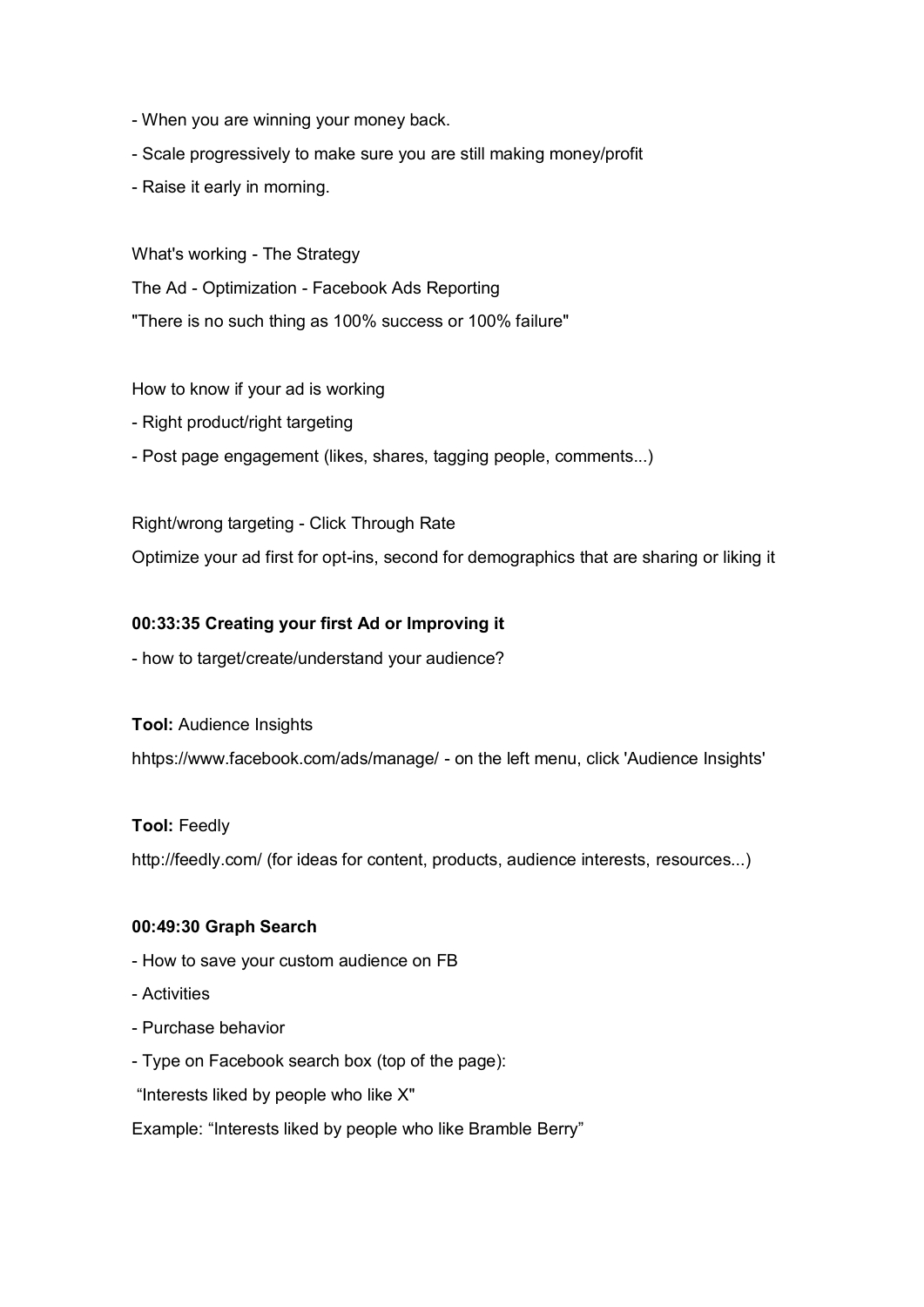- When you are winning your money back.
- Scale progressively to make sure you are still making money/profit
- Raise it early in morning.

What's working - The Strategy The Ad - Optimization - Facebook Ads Reporting "There is no such thing as 100% success or 100% failure"

How to know if your ad is working

- Right product/right targeting
- Post page engagement (likes, shares, tagging people, comments...)

## Right/wrong targeting - Click Through Rate

Optimize your ad first for opt-ins, second for demographics that are sharing or liking it

## **00:33:35 Creating your first Ad or Improving it**

- how to target/create/understand your audience?

**Tool:** Audience Insights

hhtps://www.facebook.com/ads/manage/ - on the left menu, click 'Audience Insights'

# **Tool:** Feedly

http://feedly.com/ (for ideas for content, products, audience interests, resources...)

#### **00:49:30 Graph Search**

- How to save your custom audience on FB
- Activities
- Purchase behavior
- Type on Facebook search box (top of the page):
- "Interests liked by people who like X"

Example: "Interests liked by people who like Bramble Berry"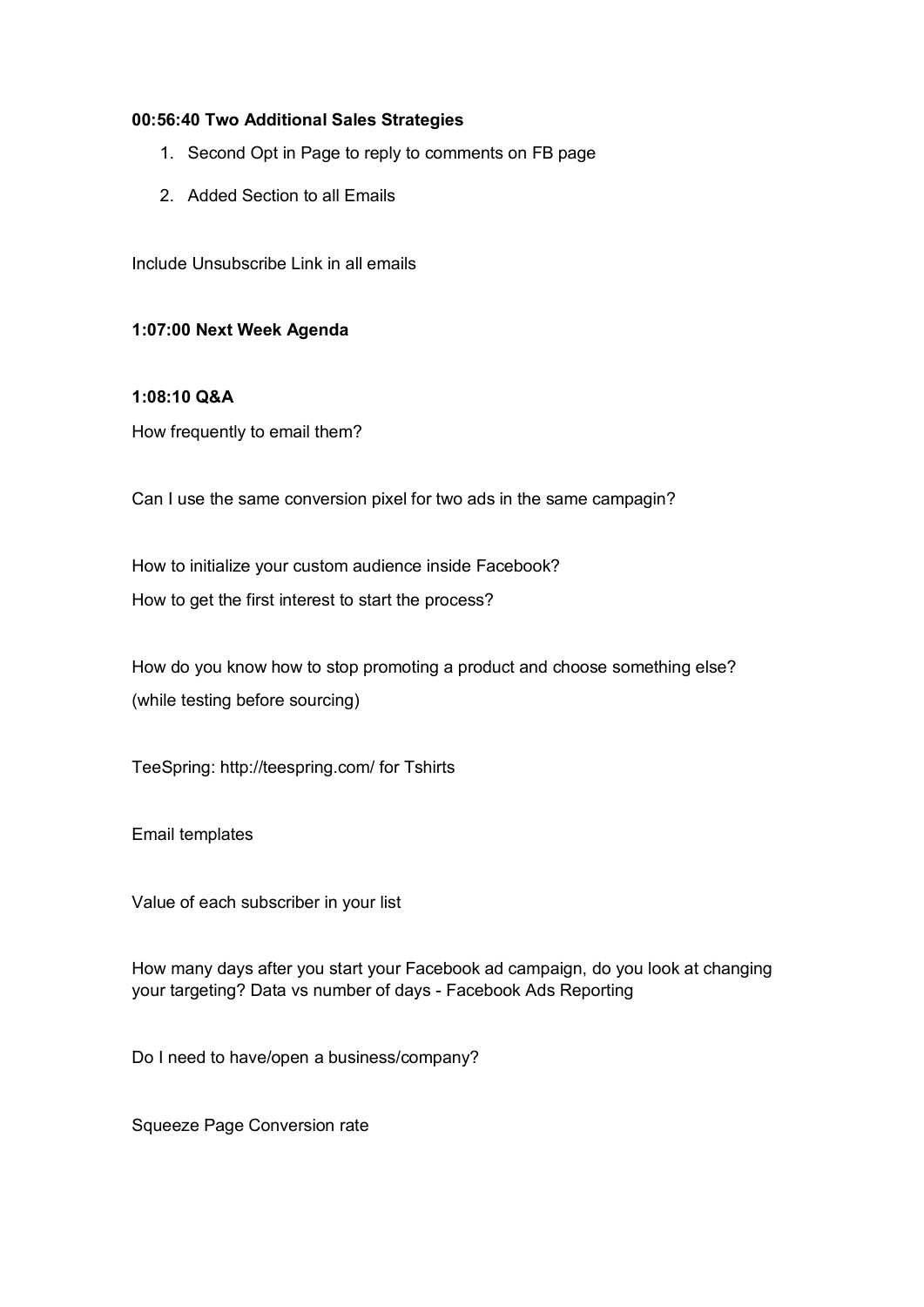#### **00:56:40 Two Additional Sales Strategies**

- 1. Second Opt in Page to reply to comments on FB page
- 2. Added Section to all Emails

Include Unsubscribe Link in all emails

## **1:07:00 Next Week Agenda**

#### **1:08:10 Q&A**

How frequently to email them?

Can I use the same conversion pixel for two ads in the same campagin?

How to initialize your custom audience inside Facebook? How to get the first interest to start the process?

How do you know how to stop promoting a product and choose something else? (while testing before sourcing)

TeeSpring: http://teespring.com/ for Tshirts

Email templates

Value of each subscriber in your list

How many days after you start your Facebook ad campaign, do you look at changing your targeting? Data vs number of days - Facebook Ads Reporting

Do I need to have/open a business/company?

Squeeze Page Conversion rate